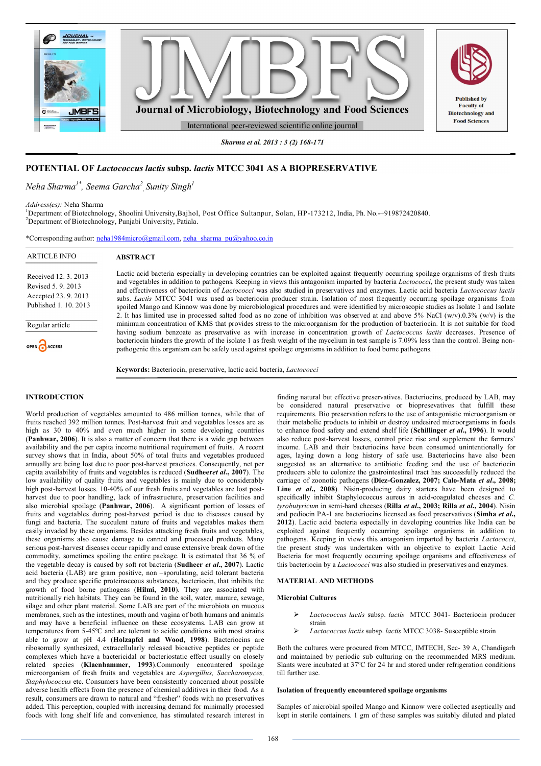

*Sharma et al. 2013 : 3 (2) 168-171*

# **POTENTIAL OF** *Lactococcus lactis* **subsp.** *lactis* **MTCC 3041 AS A BIOPRESERVATIVE**

# *Neha Sharma1\*, Seema Garcha<sup>2</sup> , Sunity Singh<sup>1</sup>*

*Address(es):* Neha Sharma

<sup>1</sup>Department of Biotechnology, Shoolini University,Bajhol, Post Office Sultanpur, Solan, HP-173212, India, Ph. No.-+919872420840. <sup>2</sup>Department of Biotechnology, Punjabi University, Patiala.

| *Corresponding author: neha1984micro@gmail.com, neha sharma $pu(\partial y \land a)$        |                                                                                                                                                                                                                                                                                                                                                                                                                                                                                                                                                                                                                                                                                                              |  |  |
|---------------------------------------------------------------------------------------------|--------------------------------------------------------------------------------------------------------------------------------------------------------------------------------------------------------------------------------------------------------------------------------------------------------------------------------------------------------------------------------------------------------------------------------------------------------------------------------------------------------------------------------------------------------------------------------------------------------------------------------------------------------------------------------------------------------------|--|--|
| <b>ARTICLE INFO</b>                                                                         | <b>ABSTRACT</b>                                                                                                                                                                                                                                                                                                                                                                                                                                                                                                                                                                                                                                                                                              |  |  |
| Received 12, 3, 2013<br>Revised 5, 9, 2013<br>Accepted 23, 9, 2013<br>Published 1, 10, 2013 | Lactic acid bacteria especially in developing countries can be exploited against frequently occurring spoilage organisms of fresh fruits<br>and vegetables in addition to pathogens. Keeping in views this antagonism imparted by bacteria <i>Lactococci</i> , the present study was taken<br>and effectiveness of bacteriocin of Lactococci was also studied in preservatives and enzymes. Lactic acid bacteria Lactococcus lactis<br>subs. Lactis MTCC 3041 was used as bacteriocin producer strain. Isolation of most frequently occurring spoilage organisms from<br>spoiled Mango and Kinnow was done by microbiological procedures and were identified by microscopic studies as Isolate 1 and Isolate |  |  |
| Regular article<br><b>OPEN</b> ACCESS                                                       | 2. It has limited use in processed salted food as no zone of inhibition was observed at and above 5% NaCl (w/v).0.3% (w/v) is the<br>minimum concentration of KMS that provides stress to the microorganism for the production of bacteriocin. It is not suitable for food<br>having sodium benzoate as preservative as with increase in concentration growth of <i>Lactococcus lactis</i> decreases. Presence of<br>bacteriocin hinders the growth of the isolate 1 as fresh weight of the mycelium in test sample is 7.09% less than the control. Being non-<br>pathogenic this organism can be safely used against spoilage organisms in addition to food borne pathogens.                                |  |  |
|                                                                                             | Keywords: Bacteriocin, preservative, lactic acid bacteria, Lactococci                                                                                                                                                                                                                                                                                                                                                                                                                                                                                                                                                                                                                                        |  |  |

# **INTRODUCTION**

World production of vegetables amounted to 486 million tonnes, while that of fruits reached 392 million tonnes. Post-harvest fruit and vegetables losses are as high as 30 to 40% and even much higher in some developing countries (**Panhwar, 2006**). It is also a matter of concern that there is a wide gap between availability and the per capita income nutritional requirement of fruits. A recent survey shows that in India, about 50% of total fruits and vegetables produced annually are being lost due to poor post-harvest practices. Consequently, net per capita availability of fruits and vegetables is reduced (**Sudheer***et al***., 2007**). The low availability of quality fruits and vegetables is mainly due to considerably high post-harvest losses. 10-40% of our fresh fruits and vegetables are lost postharvest due to poor handling, lack of infrastructure, preservation facilities and also microbial spoilage (**Panhwar, 2006**). A significant portion of losses of fruits and vegetables during post-harvest period is due to diseases caused by fungi and bacteria. The succulent nature of fruits and vegetables makes them easily invaded by these organisms. Besides attacking fresh fruits and vegetables, these organisms also cause damage to canned and processed products. Many serious post-harvest diseases occur rapidly and cause extensive break down of the commodity, sometimes spoiling the entire package. It is estimated that 36 % of the vegetable decay is caused by soft rot bacteria (**Sudheer** *et al***., 2007**). Lactic acid bacteria (LAB) are gram positive, non –sporulating, acid tolerant bacteria and they produce specific proteinaceous substances, bacteriocin, that inhibits the growth of food borne pathogens (**Hilmi, 2010**). They are associated with nutritionally rich habitats. They can be found in the soil, water, manure, sewage, silage and other plant material. Some LAB are part of the microbiota on mucous membranes, such as the intestines, mouth and vagina of both humans and animals and may have a beneficial influence on these ecosystems. LAB can grow at temperatures from 5-45ºC and are tolerant to acidic conditions with most strains able to grow at pH 4.4 (**Holzapfel and Wood, 1998**). Bacteriocins are ribosomally synthesized, extracellularly released bioactive peptides or peptide complexes which have a bactericidal or bacteriostatic effect usually on closely related species (**Klaenhammer, 1993**).Commonly encountered spoilage microorganism of fresh fruits and vegetables are *Aspergillus, Saccharomyces, Staphylococcus* etc. Consumers have been consistently concerned about possible adverse health effects from the presence of chemical additives in their food. As a result, consumers are drawn to natural and "fresher" foods with no preservatives added. This perception, coupled with increasing demand for minimally processed foods with long shelf life and convenience, has stimulated research interest in

finding natural but effective preservatives. Bacteriocins, produced by LAB, may be considered natural preservative or biopresevatives that fulfill these requirements. Bio preservation refers to the use of antagonistic microorganism or their metabolic products to inhibit or destroy undesired microorganisms in foods to enhance food safety and extend shelf life (**Schillinger** *et al***., 1996**). It would also reduce post-harvest losses, control price rise and supplement the farmers' income. LAB and their bacteriocins have been consumed unintentionally for ages, laying down a long history of safe use. Bacteriocins have also been suggested as an alternative to antibiotic feeding and the use of bacteriocin producers able to colonize the gastrointestinal tract has successfully reduced the carriage of zoonotic pathogens (**Diez-Gonzalez, 2007; Calo-Mata** *et al***., 2008;**  Line *et al.*, 2008). Nisin-producing dairy starters have been designed to specifically inhibit Staphylococcus aureus in acid-coagulated cheeses and *C. tyrobutyricum* in semi-hard cheeses (**Rilla** *et al***., 2003; Rilla** *et al***., 2004**). Nisin and pediocin PA-1 are bacteriocins licensed as food preservatives (**Simha** *et al***., 2012**). Lactic acid bacteria especially in developing countries like India can be exploited against frequently occurring spoilage organisms in addition to pathogens. Keeping in views this antagonism imparted by bacteria *Lactococci*, the present study was undertaken with an objective to exploit Lactic Acid Bacteria for most frequently occurring spoilage organisms and effectiveness of this bacteriocin by a *Lactococci* was also studied in preservatives and enzymes.

# **MATERIAL AND METHODS**

## **Microbial Cultures**

- *Lactococcus lactis* subsp. *lactis* MTCC 3041- Bacteriocin producer strain
- *Lactococcus lactis* subsp. *lactis* MTCC 3038- Susceptible strain

Both the cultures were procured from MTCC, IMTECH, Sec- 39 A, Chandigarh and maintained by periodic sub culturing on the recommended MRS medium. Slants were incubated at 37ºC for 24 hr and stored under refrigeration conditions till further use.

# **Isolation of frequently encountered spoilage organisms**

Samples of microbial spoiled Mango and Kinnow were collected aseptically and kept in sterile containers. 1 gm of these samples was suitably diluted and plated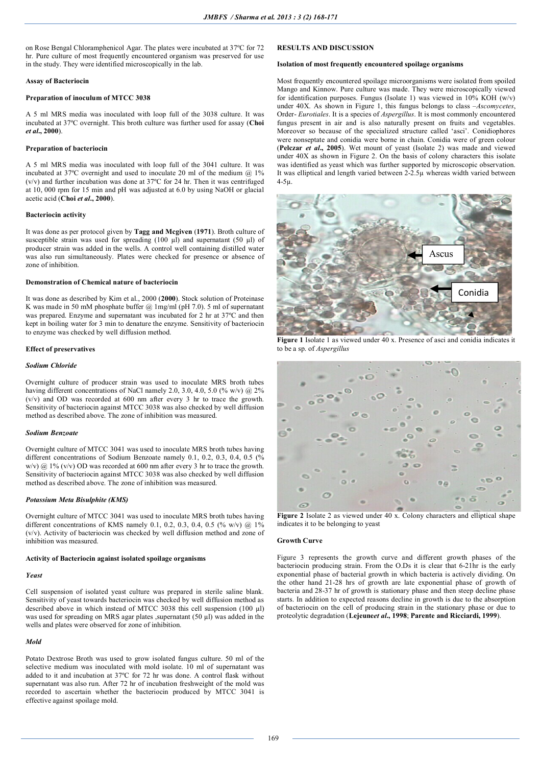on Rose Bengal Chloramphenicol Agar. The plates were incubated at 37ºC for 72 hr. Pure culture of most frequently encountered organism was preserved for use in the study. They were identified microscopically in the lab.

### **Assay of Bacteriocin**

# **Preparation of inoculum of MTCC 3038**

A 5 ml MRS media was inoculated with loop full of the 3038 culture. It was incubated at 37ºC overnight. This broth culture was further used for assay (**Choi**  *et al***., 2000**).

## **Preparation of bacteriocin**

A 5 ml MRS media was inoculated with loop full of the 3041 culture. It was incubated at 37ºC overnight and used to inoculate 20 ml of the medium @ 1% (v/v) and further incubation was done at 37ºC for 24 hr. Then it was centrifuged at 10, 000 rpm for 15 min and pH was adjusted at 6.0 by using NaOH or glacial acetic acid (**Choi** *et al***., 2000**).

## **Bacteriocin activity**

It was done as per protocol given by **Tagg and Mcgiven** (**1971**). Broth culture of susceptible strain was used for spreading  $(100 \mu l)$  and supernatant  $(50 \mu l)$  of producer strain was added in the wells. A control well containing distilled water was also run simultaneously. Plates were checked for presence or absence of zone of inhibition.

# **Demonstration of Chemical nature of bacteriocin**

It was done as described by Kim et al., 2000 (**2000**). Stock solution of Proteinase K was made in 50 mM phosphate buffer @ 1mg/ml (pH 7.0). 5 ml of supernatant was prepared. Enzyme and supernatant was incubated for 2 hr at 37ºC and then kept in boiling water for 3 min to denature the enzyme. Sensitivity of bacteriocin to enzyme was checked by well diffusion method.

#### **Effect of preservatives**

#### *Sodium Chloride*

Overnight culture of producer strain was used to inoculate MRS broth tubes having different concentrations of NaCl namely 2.0, 3.0, 4.0, 5.0 (% w/v) @ 2% (v/v) and OD was recorded at 600 nm after every 3 hr to trace the growth. Sensitivity of bacteriocin against MTCC 3038 was also checked by well diffusion method as described above. The zone of inhibition was measured.

#### *Sodium Benzoate*

Overnight culture of MTCC 3041 was used to inoculate MRS broth tubes having different concentrations of Sodium Benzoate namely 0.1, 0.2, 0.3, 0.4, 0.5 (% w/v) @ 1% (v/v) OD was recorded at 600 nm after every 3 hr to trace the growth. Sensitivity of bacteriocin against MTCC 3038 was also checked by well diffusion method as described above. The zone of inhibition was measured.

#### *Potassium Meta Bisulphite (KMS)*

Overnight culture of MTCC 3041 was used to inoculate MRS broth tubes having different concentrations of KMS namely 0.1, 0.2, 0.3, 0.4, 0.5 (% w/v)  $@1\%$ (v/v). Activity of bacteriocin was checked by well diffusion method and zone of inhibition was measured.

#### **Activity of Bacteriocin against isolated spoilage organisms**

# *Yeast*

Cell suspension of isolated yeast culture was prepared in sterile saline blank. Sensitivity of yeast towards bacteriocin was checked by well diffusion method as described above in which instead of MTCC 3038 this cell suspension (100 µl) was used for spreading on MRS agar plates , supernatant (50 µl) was added in the wells and plates were observed for zone of inhibition.

#### *Mold*

Potato Dextrose Broth was used to grow isolated fungus culture. 50 ml of the selective medium was inoculated with mold isolate. 10 ml of supernatant was added to it and incubation at 37ºC for 72 hr was done. A control flask without supernatant was also run. After 72 hr of incubation freshweight of the mold was recorded to ascertain whether the bacteriocin produced by MTCC 3041 is effective against spoilage mold.

# **RESULTS AND DISCUSSION**

## **Isolation of most frequently encountered spoilage organisms**

Most frequently encountered spoilage microorganisms were isolated from spoiled Mango and Kinnow. Pure culture was made. They were microscopically viewed for identification purposes. Fungus (Isolate 1) was viewed in  $10\%$  KOH (w/v) under 40X. As shown in Figure 1, this fungus belongs to class –*Ascomycetes*, Order- *Eurotiales*. It is a species of *Aspergillus*. It is most commonly encountered fungus present in air and is also naturally present on fruits and vegetables. Moreover so because of the specialized structure called 'asci'. Conidiophores were nonseptate and conidia were borne in chain. Conidia were of green colour (**Pelczar** *et al***., 2005**). Wet mount of yeast (Isolate 2) was made and viewed under 40X as shown in Figure 2. On the basis of colony characters this isolate was identified as yeast which was further supported by microscopic observation. It was elliptical and length varied between 2-2.5µ whereas width varied between 4-5µ.



**Figure 1** Isolate 1 as viewed under 40 x. Presence of asci and conidia indicates it to be a sp. of *Aspergillus*



Figure 2 Isolate 2 as viewed under 40 x. Colony characters and elliptical shape indicates it to be belonging to yeast

# **Growth Curve**

Figure 3 represents the growth curve and different growth phases of the bacteriocin producing strain. From the O.Ds it is clear that 6-21hr is the early exponential phase of bacterial growth in which bacteria is actively dividing. On the other hand 21-28 hrs of growth are late exponential phase of growth of bacteria and 28-37 hr of growth is stationary phase and then steep decline phase starts. In addition to expected reasons decline in growth is due to the absorption of bacteriocin on the cell of producing strain in the stationary phase or due to proteolytic degradation (**Lejeune***et al***., 1998**; **Parente and Ricciardi, 1999**).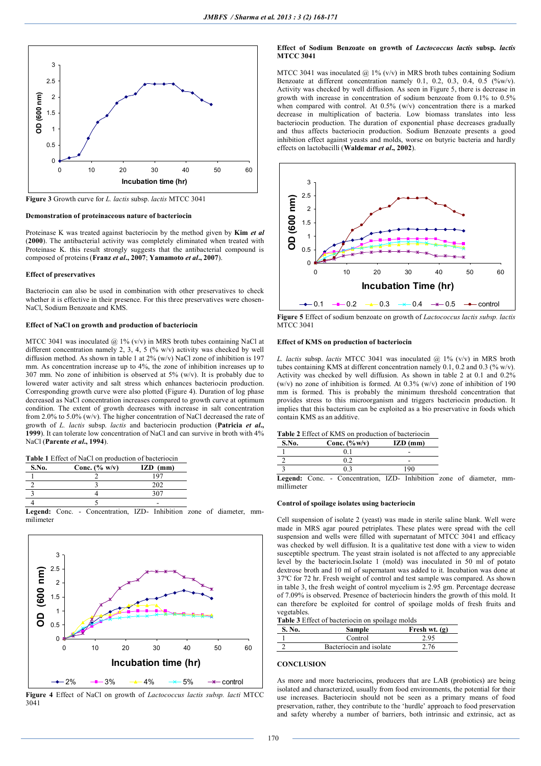

**Figure 3** Growth curve for *L. lactis* subsp. *lactis* MTCC 3041

### **Demonstration of proteinaceous nature of bacteriocin**

Proteinase K was treated against bacteriocin by the method given by **Kim** *et al* (**2000**). The antibacterial activity was completely eliminated when treated with Proteinase K. this result strongly suggests that the antibacterial compound is composed of proteins (**Franz** *et al***., 2007**; **Yamamoto** *et al***., 2007**).

#### **Effect of preservatives**

Bacteriocin can also be used in combination with other preservatives to check whether it is effective in their presence. For this three preservatives were chosen-NaCl, Sodium Benzoate and KMS.

# **Effect of NaCl on growth and production of bacteriocin**

MTCC 3041 was inoculated  $\omega$  1% (v/v) in MRS broth tubes containing NaCl at different concentration namely 2, 3, 4, 5 (% w/v) activity was checked by well diffusion method. As shown in table 1 at 2% (w/v) NaCl zone of inhibition is 197 mm. As concentration increase up to 4%, the zone of inhibition increases up to 307 mm. No zone of inhibition is observed at 5% (w/v). It is probably due to lowered water activity and salt stress which enhances bacteriocin production. Corresponding growth curve were also plotted (Figure 4). Duration of log phase decreased as NaCl concentration increases compared to growth curve at optimum condition. The extent of growth decreases with increase in salt concentration from 2.0% to 5.0% (w/v). The higher concentration of NaCl decreased the rate of growth of *L. lactis* subsp. *lactis* and bacteriocin production (**Patricia** *et al***., 1999**). It can tolerate low concentration of NaCl and can survive in broth with 4% NaCl (**Parente** *et al***., 1994**).

| S.No. | Conc. $(\% w/v)$ | $IZD$ (mm) |
|-------|------------------|------------|
|       |                  | 107        |
|       |                  | 202        |
|       |                  | 307        |
|       |                  |            |

**Legend:** Conc. - Concentration, IZD- Inhibition zone of diameter, mmmilimeter



**Figure 4** Effect of NaCl on growth of *Lactococcus lactis subsp. lacti* MTCC 3041

## **Effect of Sodium Benzoate on growth of** *Lactococcus lactis* **subsp.** *lactis* **MTCC 3041**

MTCC 3041 was inoculated  $\omega$  1% (v/v) in MRS broth tubes containing Sodium Benzoate at different concentration namely 0.1, 0.2, 0.3, 0.4, 0.5  $(\%w/v)$ . Activity was checked by well diffusion. As seen in Figure 5, there is decrease in growth with increase in concentration of sodium benzoate from 0.1% to 0.5% when compared with control. At  $0.5\%$  (w/v) concentration there is a marked decrease in multiplication of bacteria. Low biomass translates into less bacteriocin production. The duration of exponential phase decreases gradually and thus affects bacteriocin production. Sodium Benzoate presents a good inhibition effect against yeasts and molds, worse on butyric bacteria and hardly effects on lactobacilli (**Waldemar** *et al***., 2002**).



**Figure 5** Effect of sodium benzoate on growth of *Lactococcus lactis subsp. lactis*  MTCC 3041

## **Effect of KMS on production of bacteriocin**

*L. lactis* subsp. *lactis* MTCC 3041 was inoculated @ 1% (v/v) in MRS broth tubes containing KMS at different concentration namely 0.1, 0.2 and 0.3 (% w/v). Activity was checked by well diffusion. As shown in table 2 at 0.1 and 0.2% (w/v) no zone of inhibition is formed. At  $0.3\%$  (w/v) zone of inhibition of 190 mm is formed. This is probably the minimum threshold concentration that provides stress to this microorganism and triggers bacteriocin production. It implies that this bacterium can be exploited as a bio preservative in foods which contain KMS as an additive.

| S.No.                | Conc. $(\%w/v)$ | $IZD$ (mm) |
|----------------------|-----------------|------------|
|                      |                 |            |
|                      |                 |            |
|                      |                 | ۱۹۸        |
| $\sim$ $\sim$ $\sim$ |                 | T T T      |

**Legend:** Conc. - Concentration, IZD- Inhibition zone of diameter, mmmillimeter

### **Control of spoilage isolates using bacteriocin**

Cell suspension of isolate 2 (yeast) was made in sterile saline blank. Well were made in MRS agar poured petriplates. These plates were spread with the cell suspension and wells were filled with supernatant of MTCC 3041 and efficacy was checked by well diffusion. It is a qualitative test done with a view to widen susceptible spectrum. The yeast strain isolated is not affected to any appreciable level by the bacteriocin.Isolate 1 (mold) was inoculated in 50 ml of potato dextrose broth and 10 ml of supernatant was added to it. Incubation was done at 37ºC for 72 hr. Fresh weight of control and test sample was compared. As shown in table 3, the fresh weight of control mycelium is 2.95 gm. Percentage decrease of 7.09% is observed. Presence of bacteriocin hinders the growth of this mold. It can therefore be exploited for control of spoilage molds of fresh fruits and vegetables.

|        | <b>Table 3</b> Effect of bacteriocin on spoilage molds |                 |
|--------|--------------------------------------------------------|-----------------|
| S. No. | Sample                                                 | Fresh wt. $(g)$ |

| . | .                       | $1.1$ $0.02$ $1.00$ $(1.0)$ |
|---|-------------------------|-----------------------------|
|   | Control                 |                             |
|   | Bacteriocin and isolate |                             |
|   |                         |                             |

# **CONCLUSION**

As more and more bacteriocins, producers that are LAB (probiotics) are being isolated and characterized, usually from food environments, the potential for their use increases. Bacteriocin should not be seen as a primary means of food preservation, rather, they contribute to the 'hurdle' approach to food preservation and safety whereby a number of barriers, both intrinsic and extrinsic, act as